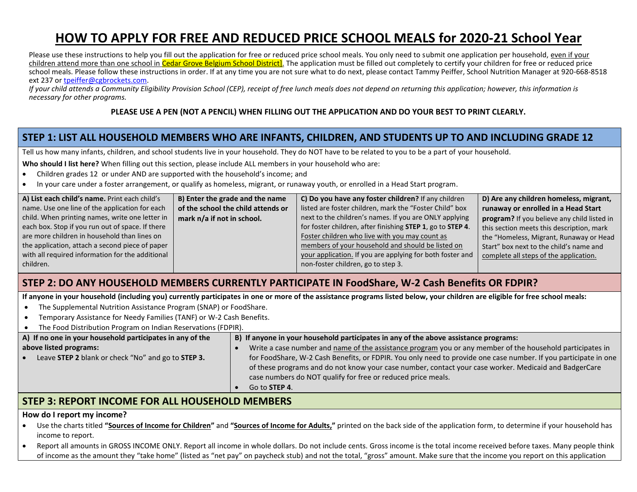# **HOW TO APPLY FOR FREE AND REDUCED PRICE SCHOOL MEALS for 2020-21 School Year**

Please use these instructions to help you fill out the application for free or reduced price school meals. You only need to submit one application per household, even if your children attend more than one school in Cedar Grove Belgium School District]. The application must be filled out completely to certify your children for free or reduced price school meals. Please follow these instructions in order. If at any time you are not sure what to do next, please contact Tammy Peiffer, School Nutrition Manager at 920-668-8518 ext 237 o[r tpeiffer@cgbrockets.com.](mailto:tpeiffer@cgbrockets.com)

*If your child attends a Community Eligibility Provision School (CEP), receipt of free lunch meals does not depend on returning this application; however, this information is necessary for other programs.*

#### **PLEASE USE A PEN (NOT A PENCIL) WHEN FILLING OUT THE APPLICATION AND DO YOUR BEST TO PRINT CLEARLY.**

## **STEP 1: LIST ALL HOUSEHOLD MEMBERS WHO ARE INFANTS, CHILDREN, AND STUDENTS UP TO AND INCLUDING GRADE 12**

Tell us how many infants, children, and school students live in your household. They do NOT have to be related to you to be a part of your household.

**Who should I list here?** When filling out this section, please include ALL members in your household who are:

- Children grades 12 or under AND are supported with the household's income; and
- In your care under a foster arrangement, or qualify as homeless, migrant, or runaway youth, or enrolled in a Head Start program.

| A) List each child's name. Print each child's    | B) Enter the grade and the name    | C) Do you have any foster children? If any children        | D) Are any children homeless, migrant,      |
|--------------------------------------------------|------------------------------------|------------------------------------------------------------|---------------------------------------------|
| name. Use one line of the application for each   | of the school the child attends or | listed are foster children, mark the "Foster Child" box    | runaway or enrolled in a Head Start         |
| child. When printing names, write one letter in  | mark n/a if not in school.         | next to the children's names. If you are ONLY applying     | program? If you believe any child listed in |
| each box. Stop if you run out of space. If there |                                    | for foster children, after finishing STEP 1, go to STEP 4. | this section meets this description, mark   |
| are more children in household than lines on     |                                    | Foster children who live with you may count as             | the "Homeless, Migrant, Runaway or Head     |
| the application, attach a second piece of paper  |                                    | members of your household and should be listed on          | Start" box next to the child's name and     |
| with all required information for the additional |                                    | your application. If you are applying for both foster and  | complete all steps of the application.      |
| children.                                        |                                    | non-foster children, go to step 3.                         |                                             |
|                                                  |                                    |                                                            |                                             |

## **STEP 2: DO ANY HOUSEHOLD MEMBERS CURRENTLY PARTICIPATE IN FoodShare, W-2 Cash Benefits OR FDPIR?**

**If anyone in your household (including you) currently participates in one or more of the assistance programs listed below, your children are eligible for free school meals:**

- The Supplemental Nutrition Assistance Program (SNAP) or FoodShare.
- Temporary Assistance for Needy Families (TANF) or W-2 Cash Benefits.
- The Food Distribution Program on Indian Reservations (FDPIR).

| A) If no one in your household participates in any of the       | B) If anyone in your household participates in any of the above assistance programs:                            |  |  |
|-----------------------------------------------------------------|-----------------------------------------------------------------------------------------------------------------|--|--|
| above listed programs:                                          | Write a case number and name of the assistance program you or any member of the household participates in       |  |  |
| Leave STEP 2 blank or check "No" and go to STEP 3.<br>$\bullet$ | for FoodShare, W-2 Cash Benefits, or FDPIR. You only need to provide one case number. If you participate in one |  |  |
|                                                                 | of these programs and do not know your case number, contact your case worker. Medicaid and BadgerCare           |  |  |
|                                                                 | case numbers do NOT qualify for free or reduced price meals.                                                    |  |  |
|                                                                 | Go to <b>STEP 4.</b>                                                                                            |  |  |

## **STEP 3: REPORT INCOME FOR ALL HOUSEHOLD MEMBERS**

#### **How do I report my income?**

- Use the charts titled **"Sources of Income for Children"** and **"Sources of Income for Adults,"** printed on the back side of the application form, to determine if your household has income to report.
- Report all amounts in GROSS INCOME ONLY. Report all income in whole dollars. Do not include cents. Gross income is the total income received before taxes. Many people think of income as the amount they "take home" (listed as "net pay" on paycheck stub) and not the total, "gross" amount. Make sure that the income you report on this application